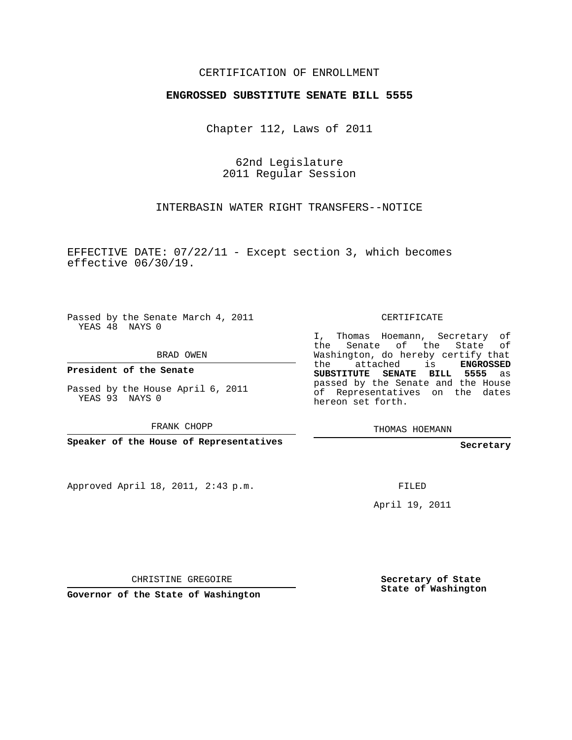## CERTIFICATION OF ENROLLMENT

## **ENGROSSED SUBSTITUTE SENATE BILL 5555**

Chapter 112, Laws of 2011

62nd Legislature 2011 Regular Session

INTERBASIN WATER RIGHT TRANSFERS--NOTICE

EFFECTIVE DATE: 07/22/11 - Except section 3, which becomes effective 06/30/19.

Passed by the Senate March 4, 2011 YEAS 48 NAYS 0

BRAD OWEN

**President of the Senate**

Passed by the House April 6, 2011 YEAS 93 NAYS 0

FRANK CHOPP

**Speaker of the House of Representatives**

Approved April 18, 2011, 2:43 p.m.

CERTIFICATE

I, Thomas Hoemann, Secretary of the Senate of the State Washington, do hereby certify that the attached is **ENGROSSED SUBSTITUTE SENATE BILL 5555** as passed by the Senate and the House of Representatives on the dates hereon set forth.

THOMAS HOEMANN

**Secretary**

FILED

April 19, 2011

CHRISTINE GREGOIRE

**Governor of the State of Washington**

**Secretary of State State of Washington**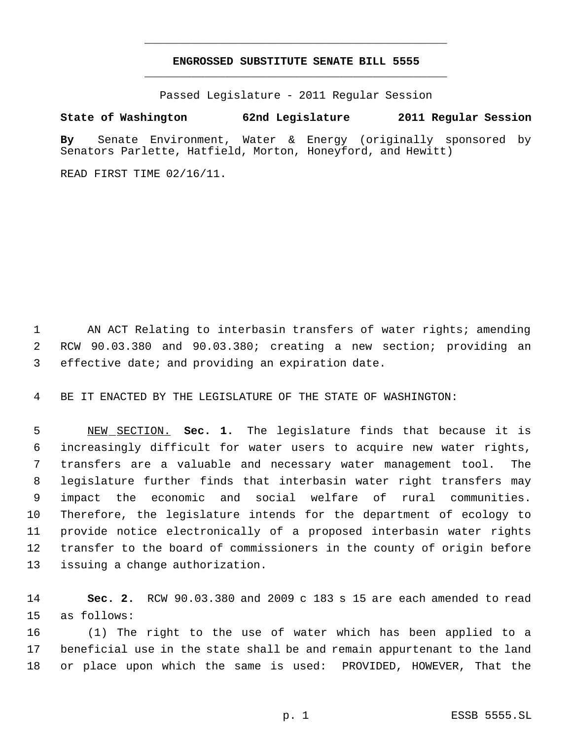## **ENGROSSED SUBSTITUTE SENATE BILL 5555** \_\_\_\_\_\_\_\_\_\_\_\_\_\_\_\_\_\_\_\_\_\_\_\_\_\_\_\_\_\_\_\_\_\_\_\_\_\_\_\_\_\_\_\_\_

\_\_\_\_\_\_\_\_\_\_\_\_\_\_\_\_\_\_\_\_\_\_\_\_\_\_\_\_\_\_\_\_\_\_\_\_\_\_\_\_\_\_\_\_\_

Passed Legislature - 2011 Regular Session

## **State of Washington 62nd Legislature 2011 Regular Session**

**By** Senate Environment, Water & Energy (originally sponsored by Senators Parlette, Hatfield, Morton, Honeyford, and Hewitt)

READ FIRST TIME 02/16/11.

 AN ACT Relating to interbasin transfers of water rights; amending RCW 90.03.380 and 90.03.380; creating a new section; providing an effective date; and providing an expiration date.

BE IT ENACTED BY THE LEGISLATURE OF THE STATE OF WASHINGTON:

 NEW SECTION. **Sec. 1.** The legislature finds that because it is increasingly difficult for water users to acquire new water rights, transfers are a valuable and necessary water management tool. The legislature further finds that interbasin water right transfers may impact the economic and social welfare of rural communities. Therefore, the legislature intends for the department of ecology to provide notice electronically of a proposed interbasin water rights transfer to the board of commissioners in the county of origin before issuing a change authorization.

 **Sec. 2.** RCW 90.03.380 and 2009 c 183 s 15 are each amended to read as follows:

 (1) The right to the use of water which has been applied to a beneficial use in the state shall be and remain appurtenant to the land or place upon which the same is used: PROVIDED, HOWEVER, That the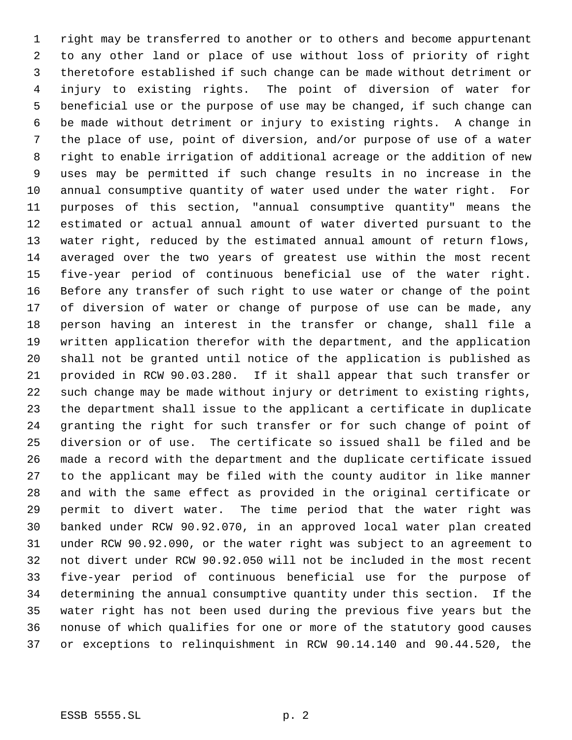right may be transferred to another or to others and become appurtenant to any other land or place of use without loss of priority of right theretofore established if such change can be made without detriment or injury to existing rights. The point of diversion of water for beneficial use or the purpose of use may be changed, if such change can be made without detriment or injury to existing rights. A change in the place of use, point of diversion, and/or purpose of use of a water right to enable irrigation of additional acreage or the addition of new uses may be permitted if such change results in no increase in the annual consumptive quantity of water used under the water right. For purposes of this section, "annual consumptive quantity" means the estimated or actual annual amount of water diverted pursuant to the water right, reduced by the estimated annual amount of return flows, averaged over the two years of greatest use within the most recent five-year period of continuous beneficial use of the water right. Before any transfer of such right to use water or change of the point of diversion of water or change of purpose of use can be made, any person having an interest in the transfer or change, shall file a written application therefor with the department, and the application shall not be granted until notice of the application is published as provided in RCW 90.03.280. If it shall appear that such transfer or such change may be made without injury or detriment to existing rights, the department shall issue to the applicant a certificate in duplicate granting the right for such transfer or for such change of point of diversion or of use. The certificate so issued shall be filed and be made a record with the department and the duplicate certificate issued to the applicant may be filed with the county auditor in like manner and with the same effect as provided in the original certificate or permit to divert water. The time period that the water right was banked under RCW 90.92.070, in an approved local water plan created under RCW 90.92.090, or the water right was subject to an agreement to not divert under RCW 90.92.050 will not be included in the most recent five-year period of continuous beneficial use for the purpose of determining the annual consumptive quantity under this section. If the water right has not been used during the previous five years but the nonuse of which qualifies for one or more of the statutory good causes or exceptions to relinquishment in RCW 90.14.140 and 90.44.520, the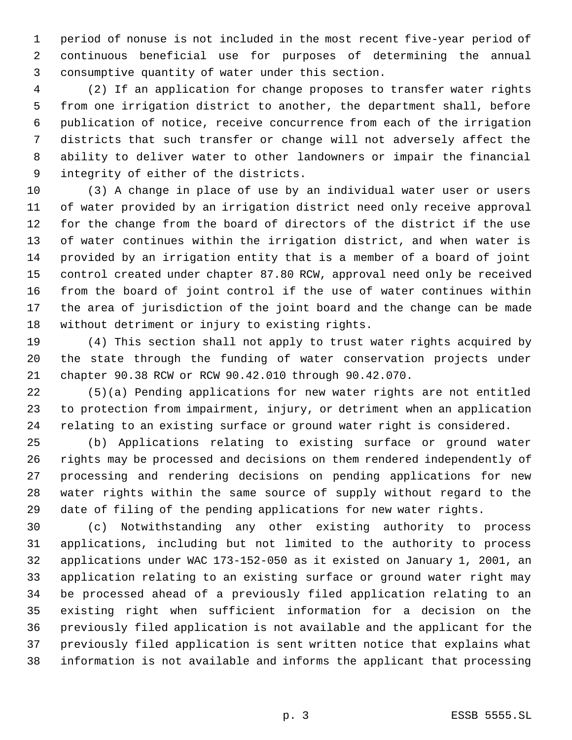period of nonuse is not included in the most recent five-year period of continuous beneficial use for purposes of determining the annual consumptive quantity of water under this section.

 (2) If an application for change proposes to transfer water rights from one irrigation district to another, the department shall, before publication of notice, receive concurrence from each of the irrigation districts that such transfer or change will not adversely affect the ability to deliver water to other landowners or impair the financial integrity of either of the districts.

 (3) A change in place of use by an individual water user or users of water provided by an irrigation district need only receive approval for the change from the board of directors of the district if the use of water continues within the irrigation district, and when water is provided by an irrigation entity that is a member of a board of joint control created under chapter 87.80 RCW, approval need only be received from the board of joint control if the use of water continues within the area of jurisdiction of the joint board and the change can be made without detriment or injury to existing rights.

 (4) This section shall not apply to trust water rights acquired by the state through the funding of water conservation projects under chapter 90.38 RCW or RCW 90.42.010 through 90.42.070.

 (5)(a) Pending applications for new water rights are not entitled to protection from impairment, injury, or detriment when an application relating to an existing surface or ground water right is considered.

 (b) Applications relating to existing surface or ground water rights may be processed and decisions on them rendered independently of processing and rendering decisions on pending applications for new water rights within the same source of supply without regard to the date of filing of the pending applications for new water rights.

 (c) Notwithstanding any other existing authority to process applications, including but not limited to the authority to process applications under WAC 173-152-050 as it existed on January 1, 2001, an application relating to an existing surface or ground water right may be processed ahead of a previously filed application relating to an existing right when sufficient information for a decision on the previously filed application is not available and the applicant for the previously filed application is sent written notice that explains what information is not available and informs the applicant that processing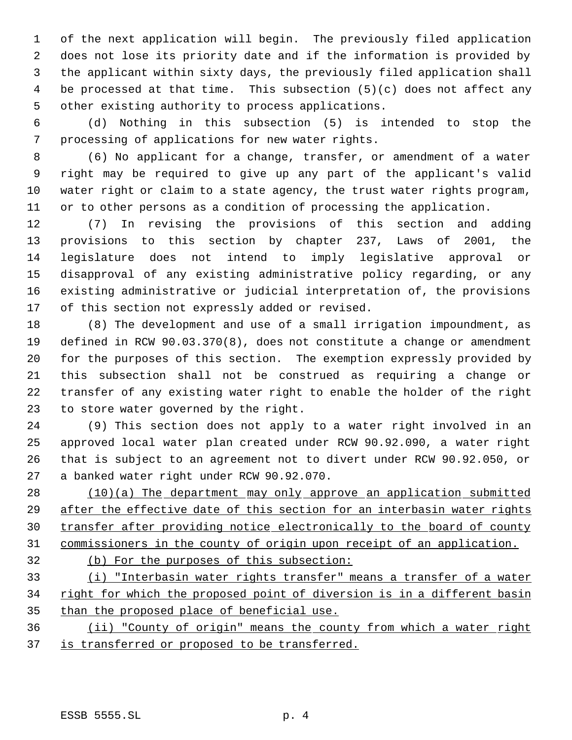of the next application will begin. The previously filed application does not lose its priority date and if the information is provided by the applicant within sixty days, the previously filed application shall be processed at that time. This subsection (5)(c) does not affect any other existing authority to process applications.

 (d) Nothing in this subsection (5) is intended to stop the processing of applications for new water rights.

 (6) No applicant for a change, transfer, or amendment of a water right may be required to give up any part of the applicant's valid water right or claim to a state agency, the trust water rights program, or to other persons as a condition of processing the application.

 (7) In revising the provisions of this section and adding provisions to this section by chapter 237, Laws of 2001, the legislature does not intend to imply legislative approval or disapproval of any existing administrative policy regarding, or any existing administrative or judicial interpretation of, the provisions of this section not expressly added or revised.

 (8) The development and use of a small irrigation impoundment, as defined in RCW 90.03.370(8), does not constitute a change or amendment for the purposes of this section. The exemption expressly provided by this subsection shall not be construed as requiring a change or transfer of any existing water right to enable the holder of the right to store water governed by the right.

 (9) This section does not apply to a water right involved in an approved local water plan created under RCW 90.92.090, a water right that is subject to an agreement not to divert under RCW 90.92.050, or a banked water right under RCW 90.92.070.

 (10)(a) The department may only approve an application submitted after the effective date of this section for an interbasin water rights transfer after providing notice electronically to the board of county commissioners in the county of origin upon receipt of an application.

- 
- (b) For the purposes of this subsection:

 (i) "Interbasin water rights transfer" means a transfer of a water 34 right for which the proposed point of diversion is in a different basin 35 than the proposed place of beneficial use.

 (ii) "County of origin" means the county from which a water right 37 is transferred or proposed to be transferred.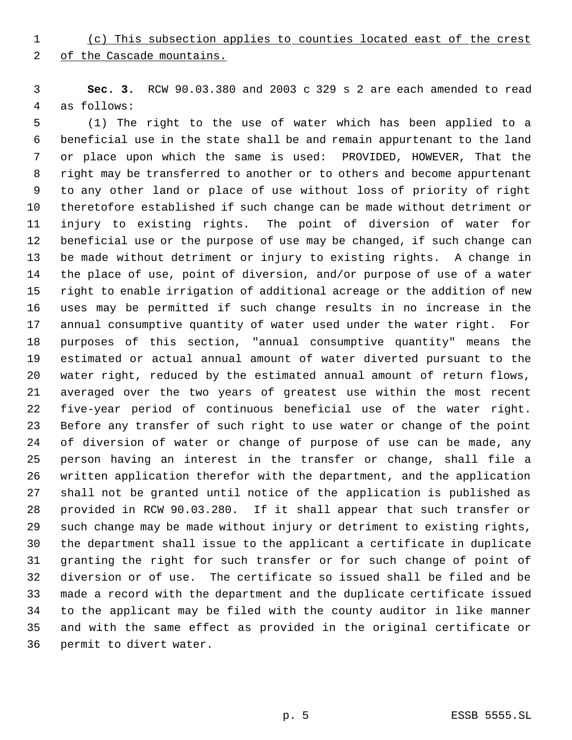(c) This subsection applies to counties located east of the crest

2 of the Cascade mountains.

 **Sec. 3.** RCW 90.03.380 and 2003 c 329 s 2 are each amended to read as follows:

 (1) The right to the use of water which has been applied to a beneficial use in the state shall be and remain appurtenant to the land or place upon which the same is used: PROVIDED, HOWEVER, That the right may be transferred to another or to others and become appurtenant to any other land or place of use without loss of priority of right theretofore established if such change can be made without detriment or injury to existing rights. The point of diversion of water for beneficial use or the purpose of use may be changed, if such change can be made without detriment or injury to existing rights. A change in the place of use, point of diversion, and/or purpose of use of a water right to enable irrigation of additional acreage or the addition of new uses may be permitted if such change results in no increase in the annual consumptive quantity of water used under the water right. For purposes of this section, "annual consumptive quantity" means the estimated or actual annual amount of water diverted pursuant to the water right, reduced by the estimated annual amount of return flows, averaged over the two years of greatest use within the most recent five-year period of continuous beneficial use of the water right. Before any transfer of such right to use water or change of the point of diversion of water or change of purpose of use can be made, any person having an interest in the transfer or change, shall file a written application therefor with the department, and the application shall not be granted until notice of the application is published as provided in RCW 90.03.280. If it shall appear that such transfer or such change may be made without injury or detriment to existing rights, the department shall issue to the applicant a certificate in duplicate granting the right for such transfer or for such change of point of diversion or of use. The certificate so issued shall be filed and be made a record with the department and the duplicate certificate issued to the applicant may be filed with the county auditor in like manner and with the same effect as provided in the original certificate or permit to divert water.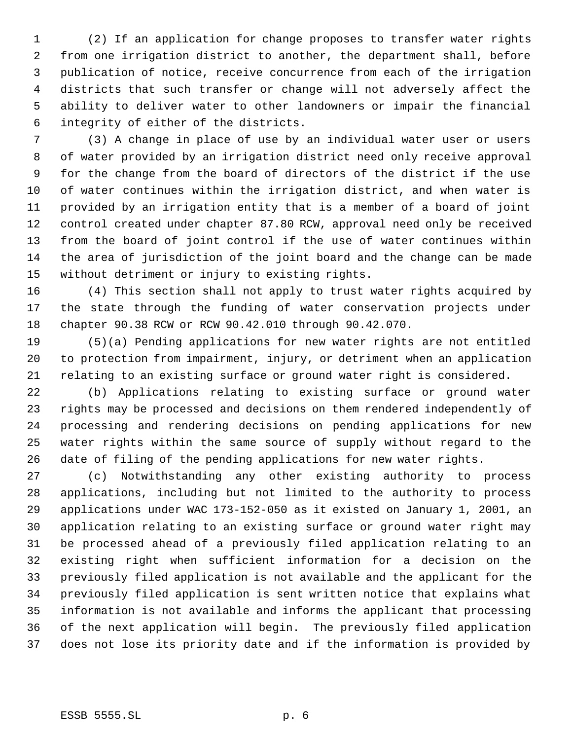(2) If an application for change proposes to transfer water rights from one irrigation district to another, the department shall, before publication of notice, receive concurrence from each of the irrigation districts that such transfer or change will not adversely affect the ability to deliver water to other landowners or impair the financial integrity of either of the districts.

 (3) A change in place of use by an individual water user or users of water provided by an irrigation district need only receive approval for the change from the board of directors of the district if the use of water continues within the irrigation district, and when water is provided by an irrigation entity that is a member of a board of joint control created under chapter 87.80 RCW, approval need only be received from the board of joint control if the use of water continues within the area of jurisdiction of the joint board and the change can be made without detriment or injury to existing rights.

 (4) This section shall not apply to trust water rights acquired by the state through the funding of water conservation projects under chapter 90.38 RCW or RCW 90.42.010 through 90.42.070.

 (5)(a) Pending applications for new water rights are not entitled to protection from impairment, injury, or detriment when an application relating to an existing surface or ground water right is considered.

 (b) Applications relating to existing surface or ground water rights may be processed and decisions on them rendered independently of processing and rendering decisions on pending applications for new water rights within the same source of supply without regard to the date of filing of the pending applications for new water rights.

 (c) Notwithstanding any other existing authority to process applications, including but not limited to the authority to process applications under WAC 173-152-050 as it existed on January 1, 2001, an application relating to an existing surface or ground water right may be processed ahead of a previously filed application relating to an existing right when sufficient information for a decision on the previously filed application is not available and the applicant for the previously filed application is sent written notice that explains what information is not available and informs the applicant that processing of the next application will begin. The previously filed application does not lose its priority date and if the information is provided by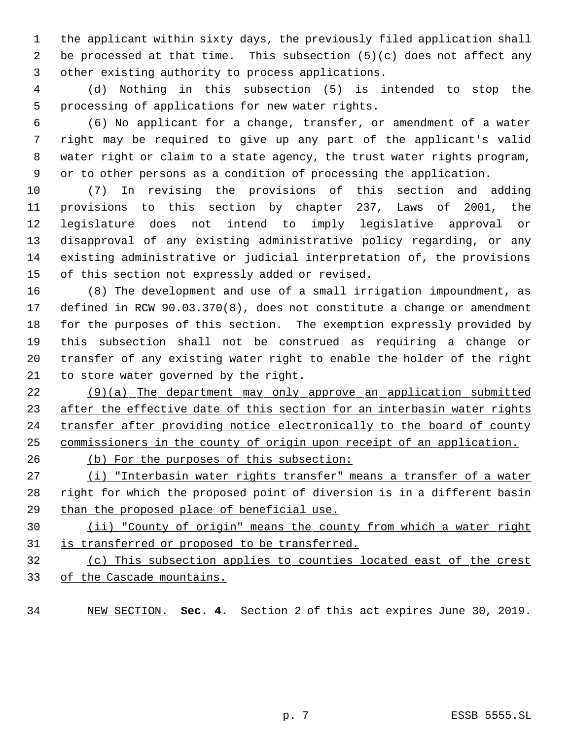the applicant within sixty days, the previously filed application shall be processed at that time. This subsection (5)(c) does not affect any other existing authority to process applications.

 (d) Nothing in this subsection (5) is intended to stop the processing of applications for new water rights.

 (6) No applicant for a change, transfer, or amendment of a water right may be required to give up any part of the applicant's valid water right or claim to a state agency, the trust water rights program, or to other persons as a condition of processing the application.

 (7) In revising the provisions of this section and adding provisions to this section by chapter 237, Laws of 2001, the legislature does not intend to imply legislative approval or disapproval of any existing administrative policy regarding, or any existing administrative or judicial interpretation of, the provisions of this section not expressly added or revised.

 (8) The development and use of a small irrigation impoundment, as defined in RCW 90.03.370(8), does not constitute a change or amendment for the purposes of this section. The exemption expressly provided by this subsection shall not be construed as requiring a change or transfer of any existing water right to enable the holder of the right to store water governed by the right.

 (9)(a) The department may only approve an application submitted 23 after the effective date of this section for an interbasin water rights 24 transfer after providing notice electronically to the board of county commissioners in the county of origin upon receipt of an application.

26 (b) For the purposes of this subsection:

27 (i) "Interbasin water rights transfer" means a transfer of a water 28 right for which the proposed point of diversion is in a different basin than the proposed place of beneficial use.

 (ii) "County of origin" means the county from which a water right 31 is transferred or proposed to be transferred.

 (c) This subsection applies to counties located east of the crest of the Cascade mountains.

NEW SECTION. **Sec. 4.** Section 2 of this act expires June 30, 2019.